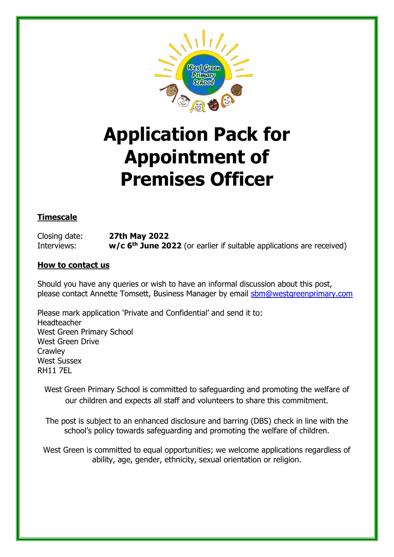

# **Application Pack for Appointment of Premises Officer**

# **Timescale**

Closing date: **27th May 2022** Interviews: **w/c 6<sup>th</sup> June 2022** (or earlier if suitable applications are received)

#### **How to contact us**

Should you have any queries or wish to have an informal discussion about this post, please contact Annette Tomsett, Business Manager by email [sbm@westgreenprimary.com](mailto:sbm@westgreenprimary.com)

Please mark application 'Private and Confidential' and send it to: Headteacher West Green Primary School West Green Drive **Crawley** West Sussex RH11 7EL

West Green Primary School is committed to safeguarding and promoting the welfare of our children and expects all staff and volunteers to share this commitment.

The post is subject to an enhanced disclosure and barring (DBS) check in line with the school's policy towards safeguarding and promoting the welfare of children.

West Green is committed to equal opportunities; we welcome applications regardless of ability, age, gender, ethnicity, sexual orientation or religion.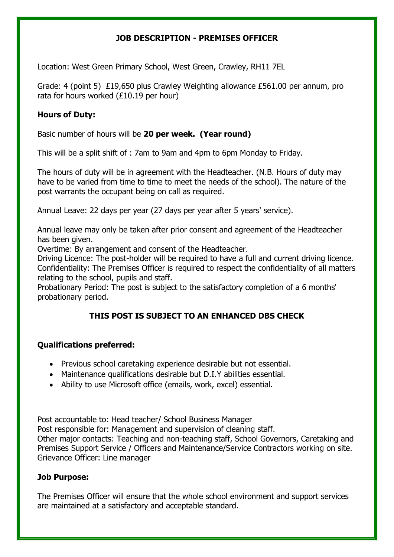## **JOB DESCRIPTION - PREMISES OFFICER**

Location: West Green Primary School, West Green, Crawley, RH11 7EL

Grade: 4 (point 5) £19,650 plus Crawley Weighting allowance £561.00 per annum, pro rata for hours worked (£10.19 per hour)

## **Hours of Duty:**

Basic number of hours will be **20 per week. (Year round)**

This will be a split shift of : 7am to 9am and 4pm to 6pm Monday to Friday.

The hours of duty will be in agreement with the Headteacher. (N.B. Hours of duty may have to be varied from time to time to meet the needs of the school). The nature of the post warrants the occupant being on call as required.

Annual Leave: 22 days per year (27 days per year after 5 years' service).

Annual leave may only be taken after prior consent and agreement of the Headteacher has been given.

Overtime: By arrangement and consent of the Headteacher.

Driving Licence: The post-holder will be required to have a full and current driving licence. Confidentiality: The Premises Officer is required to respect the confidentiality of all matters relating to the school, pupils and staff.

Probationary Period: The post is subject to the satisfactory completion of a 6 months' probationary period.

# **THIS POST IS SUBJECT TO AN ENHANCED DBS CHECK**

## **Qualifications preferred:**

- Previous school caretaking experience desirable but not essential.
- Maintenance qualifications desirable but D.I.Y abilities essential.
- Ability to use Microsoft office (emails, work, excel) essential.

Post accountable to: Head teacher/ School Business Manager Post responsible for: Management and supervision of cleaning staff. Other major contacts: Teaching and non-teaching staff, School Governors, Caretaking and Premises Support Service / Officers and Maintenance/Service Contractors working on site. Grievance Officer: Line manager

## **Job Purpose:**

The Premises Officer will ensure that the whole school environment and support services are maintained at a satisfactory and acceptable standard.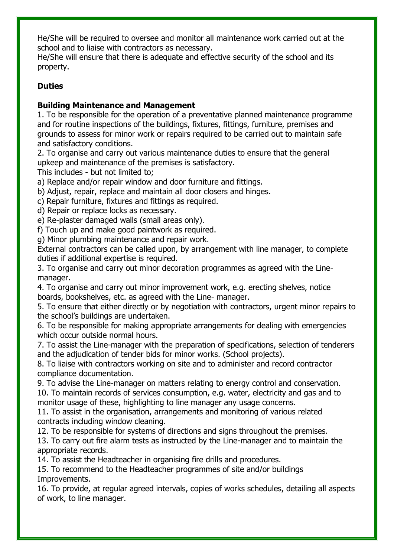He/She will be required to oversee and monitor all maintenance work carried out at the school and to liaise with contractors as necessary.

He/She will ensure that there is adequate and effective security of the school and its property.

## **Duties**

## **Building Maintenance and Management**

1. To be responsible for the operation of a preventative planned maintenance programme and for routine inspections of the buildings, fixtures, fittings, furniture, premises and grounds to assess for minor work or repairs required to be carried out to maintain safe and satisfactory conditions.

2. To organise and carry out various maintenance duties to ensure that the general upkeep and maintenance of the premises is satisfactory.

This includes - but not limited to;

a) Replace and/or repair window and door furniture and fittings.

b) Adjust, repair, replace and maintain all door closers and hinges.

c) Repair furniture, fixtures and fittings as required.

d) Repair or replace locks as necessary.

e) Re-plaster damaged walls (small areas only).

f) Touch up and make good paintwork as required.

g) Minor plumbing maintenance and repair work.

External contractors can be called upon, by arrangement with line manager, to complete duties if additional expertise is required.

3. To organise and carry out minor decoration programmes as agreed with the Linemanager.

4. To organise and carry out minor improvement work, e.g. erecting shelves, notice boards, bookshelves, etc. as agreed with the Line- manager.

5. To ensure that either directly or by negotiation with contractors, urgent minor repairs to the school's buildings are undertaken.

6. To be responsible for making appropriate arrangements for dealing with emergencies which occur outside normal hours.

7. To assist the Line-manager with the preparation of specifications, selection of tenderers and the adjudication of tender bids for minor works. (School projects).

8. To liaise with contractors working on site and to administer and record contractor compliance documentation.

9. To advise the Line-manager on matters relating to energy control and conservation. 10. To maintain records of services consumption, e.g. water, electricity and gas and to monitor usage of these, highlighting to line manager any usage concerns.

11. To assist in the organisation, arrangements and monitoring of various related contracts including window cleaning.

12. To be responsible for systems of directions and signs throughout the premises.

13. To carry out fire alarm tests as instructed by the Line-manager and to maintain the appropriate records.

14. To assist the Headteacher in organising fire drills and procedures.

15. To recommend to the Headteacher programmes of site and/or buildings Improvements.

16. To provide, at regular agreed intervals, copies of works schedules, detailing all aspects of work, to line manager.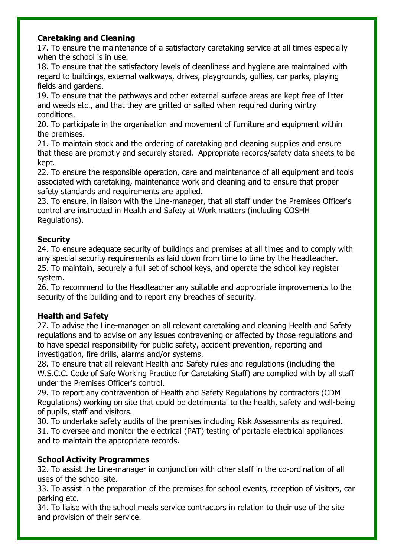## **Caretaking and Cleaning**

17. To ensure the maintenance of a satisfactory caretaking service at all times especially when the school is in use.

18. To ensure that the satisfactory levels of cleanliness and hygiene are maintained with regard to buildings, external walkways, drives, playgrounds, gullies, car parks, playing fields and gardens.

19. To ensure that the pathways and other external surface areas are kept free of litter and weeds etc., and that they are gritted or salted when required during wintry conditions.

20. To participate in the organisation and movement of furniture and equipment within the premises.

21. To maintain stock and the ordering of caretaking and cleaning supplies and ensure that these are promptly and securely stored. Appropriate records/safety data sheets to be kept.

22. To ensure the responsible operation, care and maintenance of all equipment and tools associated with caretaking, maintenance work and cleaning and to ensure that proper safety standards and requirements are applied.

23. To ensure, in liaison with the Line-manager, that all staff under the Premises Officer's control are instructed in Health and Safety at Work matters (including COSHH Regulations).

## **Security**

24. To ensure adequate security of buildings and premises at all times and to comply with any special security requirements as laid down from time to time by the Headteacher. 25. To maintain, securely a full set of school keys, and operate the school key register system.

26. To recommend to the Headteacher any suitable and appropriate improvements to the security of the building and to report any breaches of security.

## **Health and Safety**

27. To advise the Line-manager on all relevant caretaking and cleaning Health and Safety regulations and to advise on any issues contravening or affected by those regulations and to have special responsibility for public safety, accident prevention, reporting and investigation, fire drills, alarms and/or systems.

28. To ensure that all relevant Health and Safety rules and regulations (including the W.S.C.C. Code of Safe Working Practice for Caretaking Staff) are complied with by all staff under the Premises Officer's control.

29. To report any contravention of Health and Safety Regulations by contractors (CDM Regulations) working on site that could be detrimental to the health, safety and well-being of pupils, staff and visitors.

30. To undertake safety audits of the premises including Risk Assessments as required. 31. To oversee and monitor the electrical (PAT) testing of portable electrical appliances and to maintain the appropriate records.

# **School Activity Programmes**

32. To assist the Line-manager in conjunction with other staff in the co-ordination of all uses of the school site.

33. To assist in the preparation of the premises for school events, reception of visitors, car parking etc.

34. To liaise with the school meals service contractors in relation to their use of the site and provision of their service.